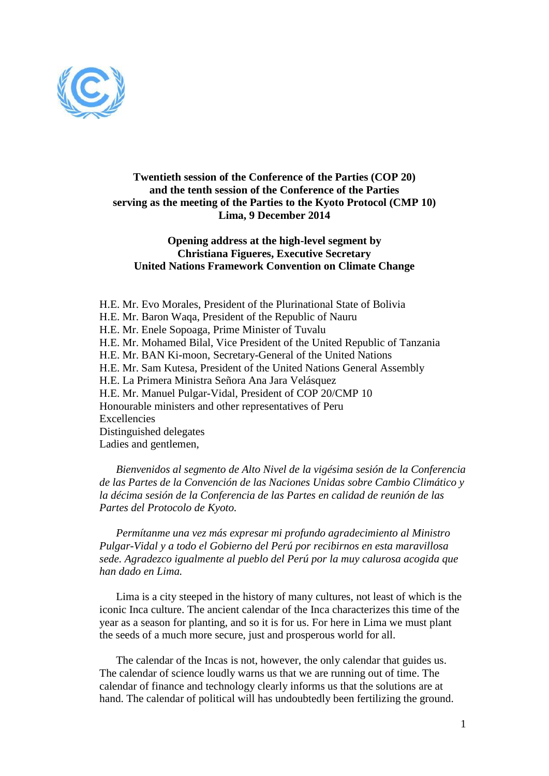

## **Twentieth session of the Conference of the Parties (COP 20) and the tenth session of the Conference of the Parties serving as the meeting of the Parties to the Kyoto Protocol (CMP 10) Lima, 9 December 2014**

## **Opening address at the high-level segment by Christiana Figueres, Executive Secretary United Nations Framework Convention on Climate Change**

H.E. Mr. Evo Morales, President of the Plurinational State of Bolivia H.E. Mr. Baron Waqa, President of the Republic of Nauru H.E. Mr. Enele Sopoaga, Prime Minister of Tuvalu H.E. Mr. Mohamed Bilal, Vice President of the United Republic of Tanzania H.E. Mr. BAN Ki-moon, Secretary-General of the United Nations H.E. Mr. Sam Kutesa, President of the United Nations General Assembly H.E. La Primera Ministra Señora Ana Jara Velásquez H.E. Mr. Manuel Pulgar-Vidal, President of COP 20/CMP 10 Honourable ministers and other representatives of Peru Excellencies Distinguished delegates Ladies and gentlemen,

*Bienvenidos al segmento de Alto Nivel de la vigésima sesión de la Conferencia de las Partes de la Convención de las Naciones Unidas sobre Cambio Climático y la décima sesión de la Conferencia de las Partes en calidad de reunión de las Partes del Protocolo de Kyoto.*

*Permítanme una vez más expresar mi profundo agradecimiento al Ministro Pulgar-Vidal y a todo el Gobierno del Perú por recibirnos en esta maravillosa sede. Agradezco igualmente al pueblo del Perú por la muy calurosa acogida que han dado en Lima.*

Lima is a city steeped in the history of many cultures, not least of which is the iconic Inca culture. The ancient calendar of the Inca characterizes this time of the year as a season for planting, and so it is for us. For here in Lima we must plant the seeds of a much more secure, just and prosperous world for all.

The calendar of the Incas is not, however, the only calendar that guides us. The calendar of science loudly warns us that we are running out of time. The calendar of finance and technology clearly informs us that the solutions are at hand. The calendar of political will has undoubtedly been fertilizing the ground.